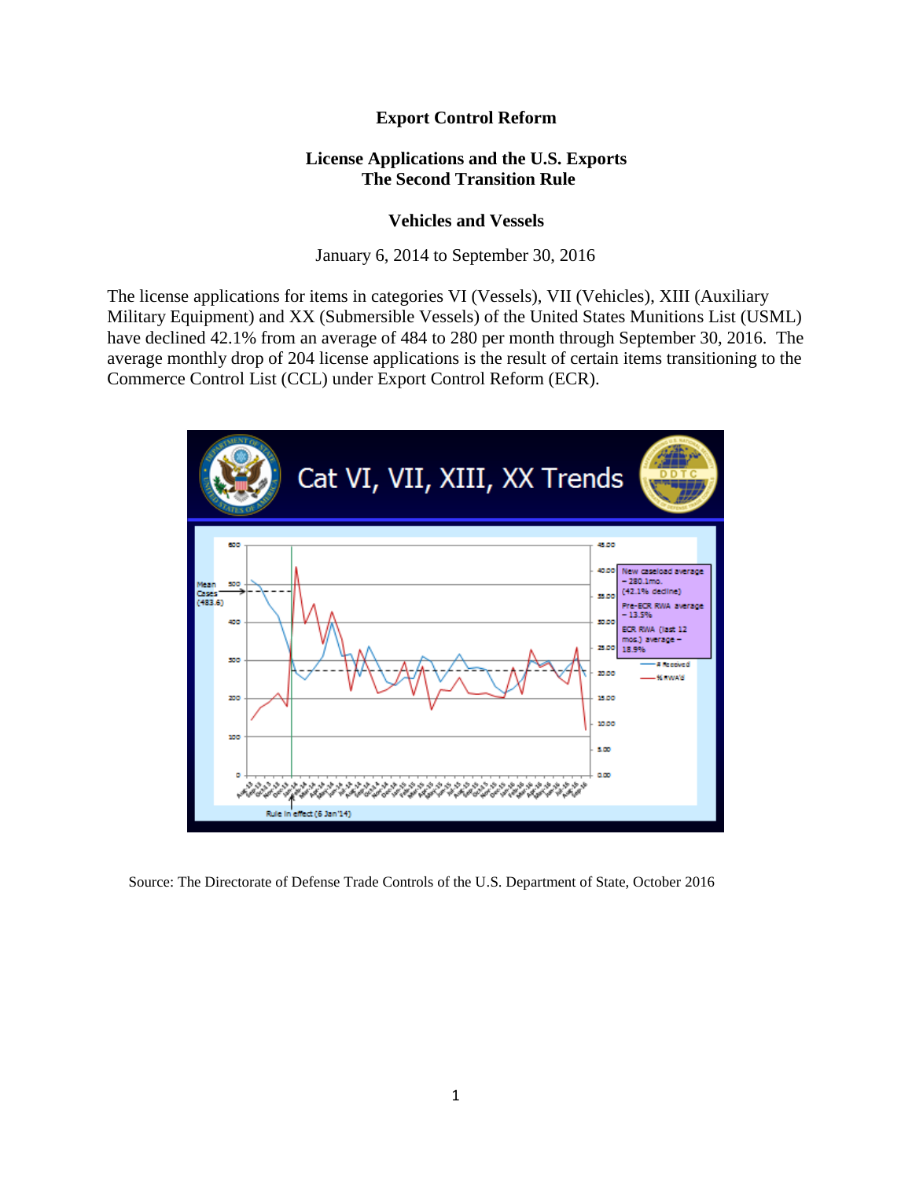## **Export Control Reform**

## **License Applications and the U.S. Exports The Second Transition Rule**

## **Vehicles and Vessels**

January 6, 2014 to September 30, 2016

The license applications for items in categories VI (Vessels), VII (Vehicles), XIII (Auxiliary Military Equipment) and XX (Submersible Vessels) of the United States Munitions List (USML) have declined 42.1% from an average of 484 to 280 per month through September 30, 2016. The average monthly drop of 204 license applications is the result of certain items transitioning to the Commerce Control List (CCL) under Export Control Reform (ECR).



Source: The Directorate of Defense Trade Controls of the U.S. Department of State, October 2016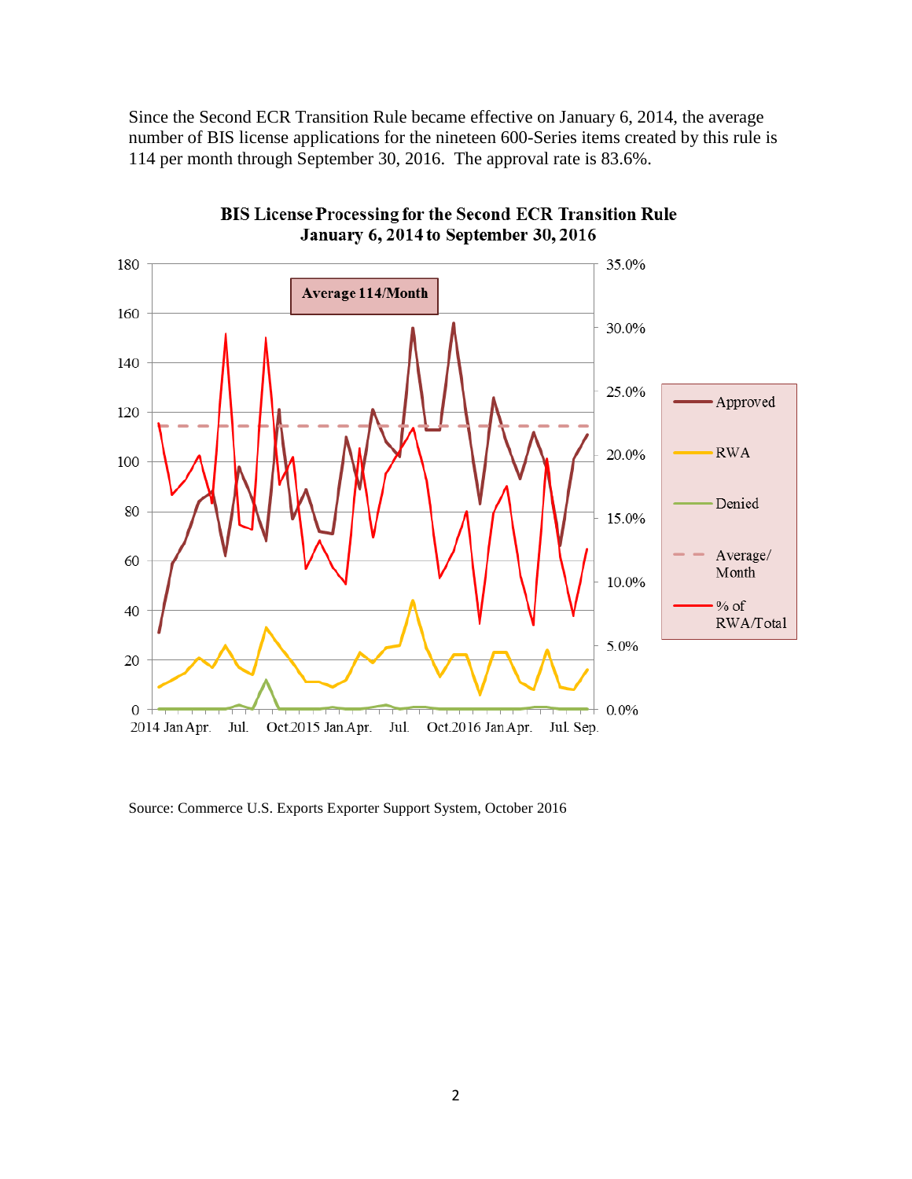Since the Second ECR Transition Rule became effective on January 6, 2014, the average number of BIS license applications for the nineteen 600-Series items created by this rule is 114 per month through September 30, 2016. The approval rate is 83.6%.



BIS License Processing for the Second ECR Transition Rule **January 6, 2014 to September 30, 2016** 

Source: Commerce U.S. Exports Exporter Support System, October 2016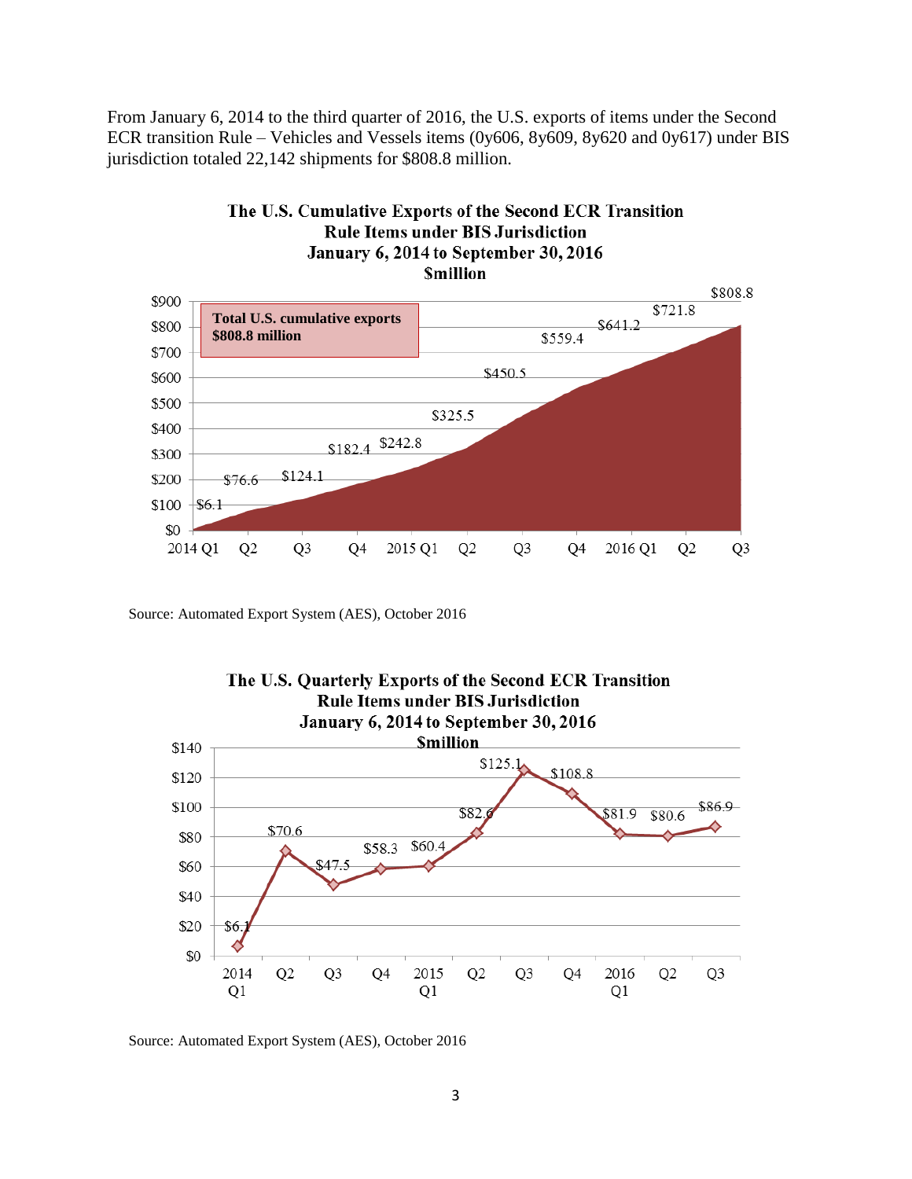From January 6, 2014 to the third quarter of 2016, the U.S. exports of items under the Second ECR transition Rule – Vehicles and Vessels items (0y606, 8y609, 8y620 and 0y617) under BIS jurisdiction totaled 22,142 shipments for \$808.8 million.



The U.S. Cumulative Exports of the Second ECR Transition **Rule Items under BIS Jurisdiction** 

Source: Automated Export System (AES), October 2016



Source: Automated Export System (AES), October 2016